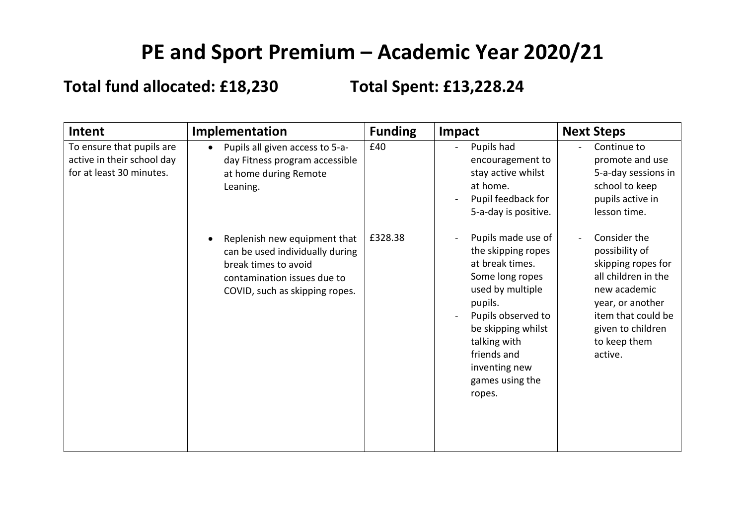## **PE and Sport Premium – Academic Year 2020/21**

**Total fund allocated: £18,230 Total Spent: £13,228.24**

| Intent                                                                              | Implementation                                                                                                                                           | <b>Funding</b> | Impact                                                                                                                                                                                                                                 | <b>Next Steps</b>                                                                                                                                                                                       |
|-------------------------------------------------------------------------------------|----------------------------------------------------------------------------------------------------------------------------------------------------------|----------------|----------------------------------------------------------------------------------------------------------------------------------------------------------------------------------------------------------------------------------------|---------------------------------------------------------------------------------------------------------------------------------------------------------------------------------------------------------|
| To ensure that pupils are<br>active in their school day<br>for at least 30 minutes. | Pupils all given access to 5-a-<br>day Fitness program accessible<br>at home during Remote<br>Leaning.                                                   | £40            | Pupils had<br>encouragement to<br>stay active whilst<br>at home.<br>Pupil feedback for<br>5-a-day is positive.                                                                                                                         | Continue to<br>promote and use<br>5-a-day sessions in<br>school to keep<br>pupils active in<br>lesson time.                                                                                             |
|                                                                                     | Replenish new equipment that<br>can be used individually during<br>break times to avoid<br>contamination issues due to<br>COVID, such as skipping ropes. | £328.38        | Pupils made use of<br>the skipping ropes<br>at break times.<br>Some long ropes<br>used by multiple<br>pupils.<br>Pupils observed to<br>be skipping whilst<br>talking with<br>friends and<br>inventing new<br>games using the<br>ropes. | Consider the<br>$\blacksquare$<br>possibility of<br>skipping ropes for<br>all children in the<br>new academic<br>year, or another<br>item that could be<br>given to children<br>to keep them<br>active. |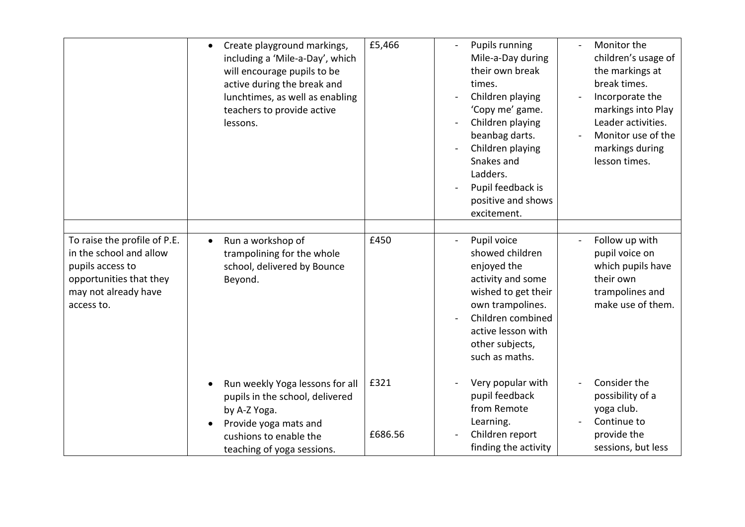|                                                                                                                                              | Create playground markings,<br>$\bullet$<br>including a 'Mile-a-Day', which<br>will encourage pupils to be<br>active during the break and<br>lunchtimes, as well as enabling<br>teachers to provide active<br>lessons. | £5,466          | <b>Pupils running</b><br>Mile-a-Day during<br>their own break<br>times.<br>Children playing<br>'Copy me' game.<br>Children playing<br>beanbag darts.<br>Children playing<br>Snakes and<br>Ladders.<br>Pupil feedback is<br>positive and shows<br>excitement. | Monitor the<br>children's usage of<br>the markings at<br>break times.<br>Incorporate the<br>markings into Play<br>Leader activities.<br>Monitor use of the<br>markings during<br>lesson times. |
|----------------------------------------------------------------------------------------------------------------------------------------------|------------------------------------------------------------------------------------------------------------------------------------------------------------------------------------------------------------------------|-----------------|--------------------------------------------------------------------------------------------------------------------------------------------------------------------------------------------------------------------------------------------------------------|------------------------------------------------------------------------------------------------------------------------------------------------------------------------------------------------|
| To raise the profile of P.E.<br>in the school and allow<br>pupils access to<br>opportunities that they<br>may not already have<br>access to. | Run a workshop of<br>$\bullet$<br>trampolining for the whole<br>school, delivered by Bounce<br>Beyond.                                                                                                                 | £450            | Pupil voice<br>showed children<br>enjoyed the<br>activity and some<br>wished to get their<br>own trampolines.<br>Children combined<br>active lesson with<br>other subjects,<br>such as maths.                                                                | Follow up with<br>pupil voice on<br>which pupils have<br>their own<br>trampolines and<br>make use of them.                                                                                     |
|                                                                                                                                              | Run weekly Yoga lessons for all<br>pupils in the school, delivered<br>by A-Z Yoga.<br>Provide yoga mats and<br>cushions to enable the<br>teaching of yoga sessions.                                                    | £321<br>£686.56 | Very popular with<br>pupil feedback<br>from Remote<br>Learning.<br>Children report<br>finding the activity                                                                                                                                                   | Consider the<br>possibility of a<br>yoga club.<br>Continue to<br>provide the<br>sessions, but less                                                                                             |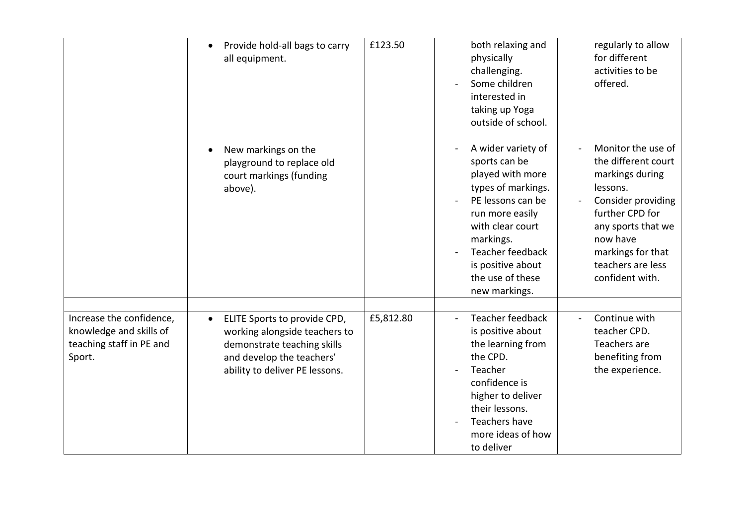|                                                                                           | Provide hold-all bags to carry<br>$\bullet$<br>all equipment.                                                                                                            | £123.50   | both relaxing and<br>physically<br>challenging.<br>Some children<br>interested in<br>taking up Yoga<br>outside of school.                                                                                                            | regularly to allow<br>for different<br>activities to be<br>offered.                                                                                                                                              |
|-------------------------------------------------------------------------------------------|--------------------------------------------------------------------------------------------------------------------------------------------------------------------------|-----------|--------------------------------------------------------------------------------------------------------------------------------------------------------------------------------------------------------------------------------------|------------------------------------------------------------------------------------------------------------------------------------------------------------------------------------------------------------------|
|                                                                                           | New markings on the<br>playground to replace old<br>court markings (funding<br>above).                                                                                   |           | A wider variety of<br>sports can be<br>played with more<br>types of markings.<br>PE lessons can be<br>run more easily<br>with clear court<br>markings.<br>Teacher feedback<br>is positive about<br>the use of these<br>new markings. | Monitor the use of<br>the different court<br>markings during<br>lessons.<br>Consider providing<br>further CPD for<br>any sports that we<br>now have<br>markings for that<br>teachers are less<br>confident with. |
| Increase the confidence,<br>knowledge and skills of<br>teaching staff in PE and<br>Sport. | ELITE Sports to provide CPD,<br>$\bullet$<br>working alongside teachers to<br>demonstrate teaching skills<br>and develop the teachers'<br>ability to deliver PE lessons. | £5,812.80 | Teacher feedback<br>is positive about<br>the learning from<br>the CPD.<br>Teacher<br>confidence is<br>higher to deliver<br>their lessons.<br>Teachers have<br>more ideas of how<br>to deliver                                        | Continue with<br>teacher CPD.<br>Teachers are<br>benefiting from<br>the experience.                                                                                                                              |